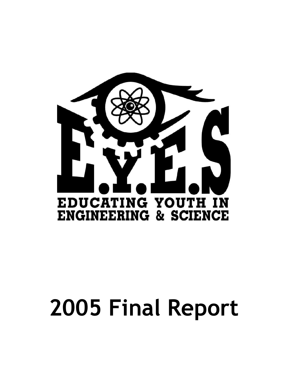

# **2005 Final Report**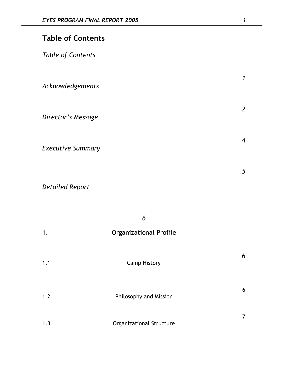|  |  | <b>Table of Contents</b> |
|--|--|--------------------------|
|  |  |                          |

*Table of Contents*

| Acknowledgements         |  |  |
|--------------------------|--|--|
| Director's Message       |  |  |
| <b>Executive Summary</b> |  |  |

*Detailed Report*

|     | 6                               |   |
|-----|---------------------------------|---|
| 1.  | <b>Organizational Profile</b>   |   |
| 1.1 | <b>Camp History</b>             | 6 |
| 1.2 | Philosophy and Mission          | 6 |
| 1.3 | <b>Organizational Structure</b> | 7 |

*1*

*2*

*4*

*5*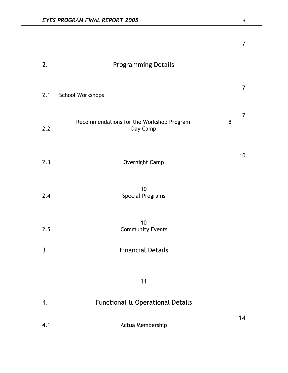|     |                                                      |   | $\overline{7}$  |
|-----|------------------------------------------------------|---|-----------------|
| 2.  | <b>Programming Details</b>                           |   |                 |
| 2.1 | School Workshops                                     |   | $\overline{7}$  |
| 2.2 | Recommendations for the Workshop Program<br>Day Camp | 8 | $\overline{7}$  |
| 2.3 | Overnight Camp                                       |   | 10 <sup>°</sup> |
| 2.4 | 10<br>Special Programs                               |   |                 |
| 2.5 | 10<br><b>Community Events</b>                        |   |                 |
| 3.  | <b>Financial Details</b>                             |   |                 |
|     | 11                                                   |   |                 |
| 4.  | Functional & Operational Details                     |   |                 |
| 4.1 | Actua Membership                                     |   | 14              |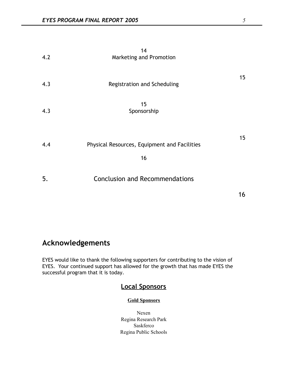| 4.2 | 14<br>Marketing and Promotion                      |                 |
|-----|----------------------------------------------------|-----------------|
| 4.3 | Registration and Scheduling                        | 15 <sub>1</sub> |
| 4.3 | 15<br>Sponsorship                                  |                 |
| 4.4 | Physical Resources, Equipment and Facilities<br>16 | 15 <sub>1</sub> |
| 5.  | <b>Conclusion and Recommendations</b>              | 16              |

# **Acknowledgements**

EYES would like to thank the following supporters for contributing to the vision of EYES. Your continued support has allowed for the growth that has made EYES the successful program that it is today.

# **Local Sponsors**

## **Gold Sponsors**

Nexen Regina Research Park Saskferco Regina Public Schools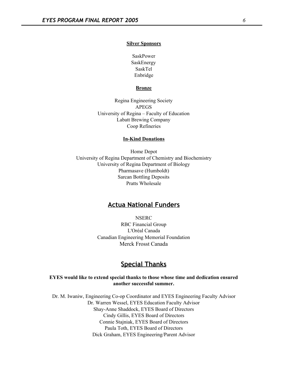## **Silver Sponsors**

SaskPower SaskEnergy SaskTel Enbridge

## **Bronze**

Regina Engineering Society APEGS University of Regina – Faculty of Education Labatt Brewing Company Coop Refineries

## **In-Kind Donations**

Home Depot University of Regina Department of Chemistry and Biochemistry University of Regina Department of Biology Pharmasave (Humboldt) Sarcan Bottling Deposits Pratts Wholesale

## **Actua National Funders**

**NSERC** RBC Financial Group L'Oréal Canada Canadian Engineering Memorial Foundation Merck Frosst Canada

## **Special Thanks**

## **EYES would like to extend special thanks to those whose time and dedication ensured another successful summer.**

Dr. M. Iwaniw, Engineering Co-op Coordinator and EYES Engineering Faculty Advisor Dr. Warren Wessel, EYES Education Faculty Advisor Shay-Anne Shaddock, EYES Board of Directors Cindy Gillis, EYES Board of Directors Connie Stajniak, EYES Board of Directors Paula Toth, EYES Board of Directors Dick Graham, EYES Engineering/Parent Advisor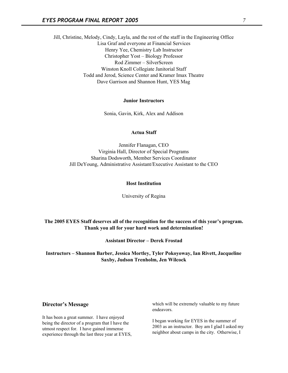Jill, Christine, Melody, Cindy, Layla, and the rest of the staff in the Engineering Office Lisa Graf and everyone at Financial Services Henry Yee, Chemistry Lab Instructor Christopher Yost – Biology Professor Rod Zimmer – SilverScreen Winston Knoll Collegiate Janitorial Staff Todd and Jerod, Science Center and Kramer Imax Theatre Dave Garrison and Shannon Hunt, YES Mag

## **Junior Instructors**

Sonia, Gavin, Kirk, Alex and Addison

## **Actua Staff**

Jennifer Flanagan, CEO Virginia Hall, Director of Special Programs Sharina Dodsworth, Member Services Coordinator Jill DeYoung, Administrative Assistant/Executive Assistant to the CEO

#### **Host Institution**

University of Regina

**The 2005 EYES Staff deserves all of the recognition for the success of this year's program. Thank you all for your hard work and determination!**

**Assistant Director – Derek Frostad**

**Instructors – Shannon Barber, Jessica Mortley, Tyler Pokoyoway, Ian Rivett, Jacqueline Saxby, Judson Trenholm, Jen Wilcock**

## **Director's Message**

It has been a great summer. I have enjoyed being the director of a program that I have the utmost respect for. I have gained immense experience through the last three year at EYES, which will be extremely valuable to my future endeavors.

I began working for EYES in the summer of 2003 as an instructor. Boy am I glad I asked my neighbor about camps in the city. Otherwise, I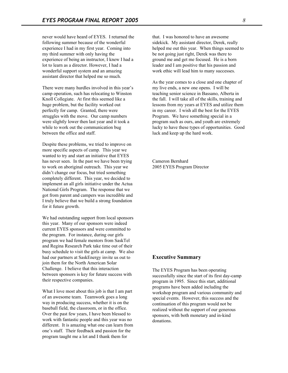never would have heard of EYES. I returned the following summer because of the wonderful experience I had in my first year. Coming into my third summer with only having the experience of being an instructor, I knew I had a lot to learn as a director. However, I had a wonderful support system and an amazing assistant director that helped me so much.

There were many hurdles involved in this year's camp operation, such has relocating to Winston Knoll Collegiate. At first this seemed like a huge problem, but the facility worked out perfectly for camp. Granted, there were struggles with the move. Our camp numbers were slightly lower then last year and it took a while to work out the communication bug between the office and staff.

Despite these problems, we tried to improve on more specific aspects of camp. This year we wanted to try and start an initiative that EYES has never seen. In the past we have been trying to work on aboriginal outreach. This year we didn't change our focus, but tried something completely different. This year, we decided to implement an all girls initiative under the Actua National Girls Program. The response that we got from parent and campers was incredible and I truly believe that we build a strong foundation for it future growth.

We had outstanding support from local sponsors this year. Many of our sponsors were indeed current EYES sponsors and were committed to the program. For instance, during our girls program we had female mentors from SaskTel and Regina Research Park take time out of their busy schedule to visit the girls at camp. We also had our partners at SaskEnergy invite us out to join them for the North American Solar Challenge. I believe that this interaction between sponsors is key for future success with their respective companies.

What I love most about this job is that I am part of an awesome team. Teamwork goes a long way in producing success, whether it is on the baseball field, the classroom, or in the office. Over the past few years, I have been blessed to work with fantastic people and this year was no different. It is amazing what one can learn from one's staff. Their feedback and passion for the program taught me a lot and I thank them for

that. I was honored to have an awesome sidekick. My assistant director, Derek, really helped me out this year. When things seemed to be not going just right, Derek was there to ground me and get me focused. He is a born leader and I am positive that his passion and work ethic will lead him to many successes.

As the year comes to a close and one chapter of my live ends, a new one opens. I will be teaching senior science in Bassano, Alberta in the fall. I will take all of the skills, training and lessons from my years at EYES and utilize them in my career. I wish all the best for the EYES Program. We have something special in a program such as ours, and youth are extremely lucky to have these types of opportunities. Good luck and keep up the hard work.

Cameron Bernhard 2005 EYES Program Director

## **Executive Summary**

The EYES Program has been operating successfully since the start of its first day-camp program in 1995. Since this start, additional programs have been added including the workshop program and various community and special events. However, this success and the continuation of this program would not be realized without the support of our generous sponsors, with both monetary and in-kind donations.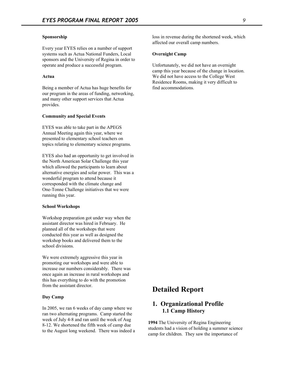## **Sponsorship**

Every year EYES relies on a number of support systems such as Actua National Funders, Local sponsors and the University of Regina in order to operate and produce a successful program.

#### **Actua**

Being a member of Actua has huge benefits for our program in the areas of funding, networking, and many other support services that Actua provides.

## **Community and Special Events**

EYES was able to take part in the APEGS Annual Meeting again this year, where we presented to elementary school teachers on topics relating to elementary science programs.

EYES also had an opportunity to get involved in the North American Solar Challenge this year which allowed the participants to learn about alternative energies and solar power. This was a wonderful program to attend because it corresponded with the climate change and One-Tonne Challenge initiatives that we were running this year.

#### **School Workshops**

Workshop preparation got under way when the assistant director was hired in February. He planned all of the workshops that were conducted this year as well as designed the workshop books and delivered them to the school divisions.

We were extremely aggressive this year in promoting our workshops and were able to increase our numbers considerably. There was once again an increase in rural workshops and this has everything to do with the promotion from the assistant director.

#### **Day Camp**

In 2005, we ran 6 weeks of day camp where we ran two alternating programs. Camp started the week of July 4-8 and ran until the week of Aug 8-12. We shortened the fifth week of camp due to the August long weekend. There was indeed a loss in revenue during the shortened week, which affected our overall camp numbers.

#### **Overnight Camp**

Unfortunately, we did not have an overnight camp this year because of the change in location. We did not have access to the College West Residence Rooms, making it very difficult to find accommodations.

# **Detailed Report**

## **1. Organizational Profile 1.1 Camp History**

**1994** The University of Regina Engineering students had a vision of holding a summer science camp for children. They saw the importance of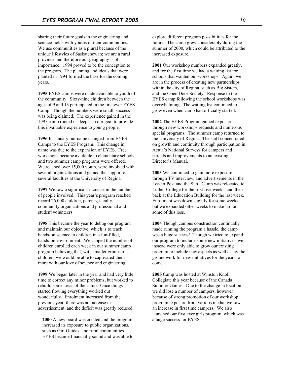sharing their future goals in the engineering and science fields with youths of their communities. We use communities as a plural because of the unique lifestyles of Saskatchewan; we are a rural province and therefore our geography is of importance. 1994 proved to be the conception to the program. The planning and ideals that were planted in 1994 formed the base for the coming years.

**1995** EYES camps were made available to youth of the community. Sixty-nine children between the ages of 9 and 13 participated in the first ever EYES Camp. Though the numbers were small, success was being claimed. The experience gained in the 1995 camp rooted us deeper in our goal to provide this invaluable experience to young people.

**1996** In January our name changed from EYES Camps to the EYES Program. This change in name was due to the expansion of EYES. Free workshops became available to elementary schools and two summer camp programs were offered. We reached over 15,000 youth, were involved with several organizations and gained the support of several faculties at the University of Regina.

**1997** We saw a significant increase in the number of people involved. This year's program reached record 26,000 children, parents, faculty, community organizations and professional and student volunteers.

**1998** This became the year to debug our program and maintain our objective, which is to teach hands-on science to children in a fun-filled, hands-on environment. We capped the number of children enrolled each week in our summer camp program believing that, with smaller groups of children, we would be able to captivated them more with our love of science and engineering.

**1999** We began later in the year and had very little time to correct any minor problems, but worked to rebuild some areas of the camp. Once things started flowing everything worked out wonderfully. Enrolment increased from the previous year, there was an increase in advertisement, and the deficit was greatly reduced.

**2000** A new board was created and the program increased its exposure to public organizations, such as Girl Guides, and rural communities. EYES became financially sound and was able to explore different program possibilities for the future. The camp grew considerably during the summer of 2000, which could be attributed to the increased exposure.

**2001** Our workshop numbers expanded greatly, and for the first time we had a waiting list for schools that wanted our workshops. Again, we are in the process of creating new partnerships within the city of Regina, such as Big Sisters, and the Open Door Society. Response to the EYES camp following the school workshops was overwhelming. The waiting list continued to grow even when camp had officially started.

**2002** The EYES Program gained exposure through new workshops requests and numerous special programs. The summer camp returned to the University of Regina. The staff concentrated on growth and continuity through participation in Actua's National Surveys for campers and parents and improvements to an existing Director's Manual.

**2003** We continued to gain more exposure through TV interview, and advertisements in the Leader Post and the Sun. Camp was relocated to Luther College for the first five weeks, and then back at the Education Building for the last week. Enrolment was down slightly for some weeks, but we expanded other weeks to make up for some of this loss.

**2004** Though campus construction continually made running the program a hassle, the camp was a huge success! Though we tried to expand our program to include some new initiatives, we instead were only able to grow our existing program to include new aspects as well as lay the groundwork for new initiatives for the years to come.

**2005** Camp was hosted at Winston Knoll Collegiate this year because of the Canada Summer Games. Due to the change in location we did lose a number of campers, however because of strong promotion of our workshop program exposure from various media, we saw an increase in first time campers. We also launched our first ever girls program, which was a huge success for EYES.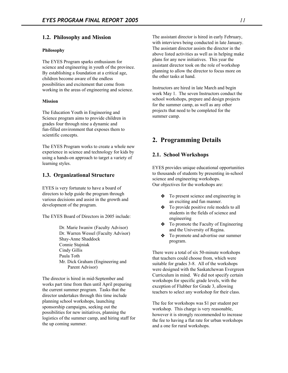## **1.2. Philosophy and Mission**

#### **Philosophy**

The EYES Program sparks enthusiasm for science and engineering in youth of the province. By establishing a foundation at a critical age, children become aware of the endless possibilities and excitement that come from working in the areas of engineering and science.

## **Mission**

The Education Youth in Engineering and Science program aims to provide children in grades four through nine a dynamic and fun-filled environment that exposes them to scientific concepts.

The EYES Program works to create a whole new experience in science and technology for kids by using a hands-on approach to target a variety of learning styles.

## **1.3. Organizational Structure**

EYES is very fortunate to have a board of directors to help guide the program through various decisions and assist in the growth and development of the program.

The EYES Board of Directors in 2005 include:

Dr. Marie Iwaniw (Faculty Advisor) Dr. Warren Wessel (Faculty Advisor) Shay-Anne Shaddock Connie Stajniak Cindy Gillis Paula Toth Mr. Dick Graham (Engineering and Parent Advisor)

The director is hired in mid-September and works part time from then until April preparing the current summer program. Tasks that the director undertakes through this time include planning school workshops, launching sponsorship campaigns, seeking out the possibilities for new initiatives, planning the logistics of the summer camp, and hiring staff for the up coming summer.

The assistant director is hired in early February, with interviews being conducted in late January. The assistant director assists the director in the above listed activities as well as in helping make plans for any new initiatives. This year the assistant director took on the role of workshop planning to allow the director to focus more on the other tasks at hand.

Instructors are hired in late March and begin work May 1. The seven Instructors conduct the school workshops, prepare and design projects for the summer camp, as well as any other projects that need to be completed for the summer camp.

# **2. Programming Details**

## **2.1. School Workshops**

EYES provides unique educational opportunities to thousands of students by presenting in-school science and engineering workshops. Our objectives for the workshops are:

- ❖ To present science and engineering in an exciting and fun manner.
- ❖ To provide positive role models to all students in the fields of science and engineering
- ❖ To promote the Faculty of Engineering and the University of Regina.
- ❖ To promote and advertise our summer program.

There were a total of six 50-minute workshops that teachers could choose from, which were suitable for grades 3-8. All of the workshops were designed with the Saskatchewan Evergreen Curriculum in mind. We did not specify certain workshops for specific grade levels, with the exception of Flubber for Grade 3, allowing teachers to select any workshop for their class.

The fee for workshops was \$1 per student per workshop. This charge is very reasonable, however it is strongly recommended to increase the fee to having a flat rate for urban workshops and a one for rural workshops.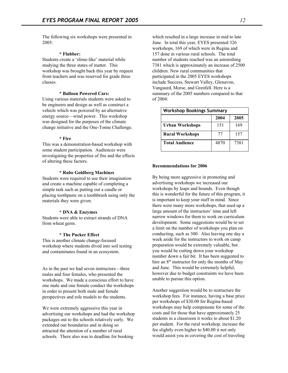The following six workshops were presented in  $2005$ <sup>-</sup>

#### **\* Flubber:**

Students create a 'slime-like' material while studying the three states of matter. This workshop was brought back this year by request from teachers and was reserved for grade three classes.

## \* **Balloon Powered Cars:**

Using various materials students were asked to be engineers and design as well as construct a vehicle which was powered by an alternative energy source—wind power. This workshop was designed for the purposes of the climate change initiative and the One-Tonne Challenge.

#### **\* Fire**

This was a demonstration-based workshop with some student participation. Audiences were investigating the properties of fire and the effects of altering these factors.

#### **\* Rube Goldberg Machines**

Students were required to use their imagination and create a machine capable of completing a simple task such as putting out a candle or placing toothpaste on a toothbrush using only the materials they were given.

## **\* DNA & Enzymes**

Students were able to extract strands of DNA from wheat germ.

## **\* The Pucker Effect**

This is another climate change-focused workshop where students dived into soil testing and contaminates found in an ecosystem.

As in the past we had seven instructors—three males and four females, who presented the workshops. We made a conscious effort to have one male and one female conduct the workshops in order to present both male and female perspectives and role models to the students.

We were extremely aggressive this year in advertising our workshops and had the workshop packages out to the schools relatively early. We extended our boundaries and in doing so attracted the attention of a number of rural schools. There also was to deadline for booking

which resulted in a large increase in mid to late June. In total this year, EYES presented 326 workshops, 169 of which were in Regina and 157 done in various rural schools. The total number of students reached was an astonishing 7381 which is approximately an increase of 2500 children. New rural communities that participated in the 2005 EYES workshops include Success, Stewart Valley, Glenavon, Vangaurd, Morse, and Grenfell. Here is a summary of the 2005 numbers compared to that of 2004:

| <b>Workshop Bookings Summary</b> |      |      |  |  |  |  |  |
|----------------------------------|------|------|--|--|--|--|--|
| 2004<br>2005                     |      |      |  |  |  |  |  |
| Urban Workshops                  | 151  | 169  |  |  |  |  |  |
| <b>Rural Workshops</b>           | 77   | 157  |  |  |  |  |  |
| <b>Total Audience</b>            | 4870 | 7381 |  |  |  |  |  |

#### **Recommendations for 2006**

By being more aggressive in promoting and advertising workshops we increased our workshops by leaps and bounds. Even though this is wonderful for the future of this program, it is important to keep your staff in mind. Since there were many more workshops, that used up a large amount of the instructors' time and left narrow windows for them to work on curriculum development. Some suggestions would be to set a limit on the number of workshops you plan on conducting, such as 300. Also leaving one day a week aside for the instructors to work on camp preparation would be extremely valuable, but you would be cutting down your workshop number down a fair bit. It has been suggested to hire an 8<sup>th</sup> instructor for only the months of May and June. This would be extremely helpful, however due to budget constraints we have been unable to pursue this option.

Another suggestion would be to restructure the workshop fees. For instance, having a base price per workshops of \$30.00 for Regina-based workshops may help compensate for some of the costs and for those that have approximately 25 students in a classroom it works to about \$1.20 per student. For the rural workshop, increase the fee slightly even higher to \$40.00 it not only would assist you in covering the cost of traveling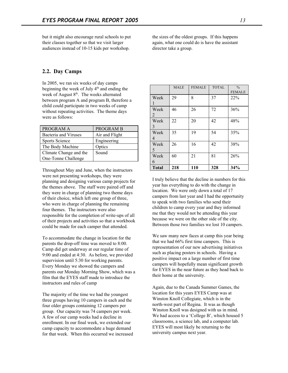but it might also encourage rural schools to put their classes together so that we visit larger audiences instead of 10-15 kids per workshop.

the sizes of the oldest groups. If this happens again, what one could do is have the assistant director take a group.

## **2.2. Day Camps**

In 2005, we ran six weeks of day camps beginning the week of July 4<sup>th</sup> and ending the week of August 8<sup>th</sup>. The weeks alternated between program A and program B, therefore a child could participate in two weeks of camp without repeating activities. The theme days were as follows:

| PROGRAM A                   | <b>PROGRAM B</b> |
|-----------------------------|------------------|
| <b>Bacteria</b> and Viruses | Air and Flight   |
| Sports Science              | Engineering      |
| The Body Machine            | Optics           |
| Climate Change and the      | Sound            |
| One-Tonne Challenge         |                  |

Throughout May and June, when the instructors were not presenting workshops, they were planning and designing various camp projects for the themes above. The staff were paired off and they were in charge of planning two theme days of their choice, which left one group of three, who were in charge of planning the remaining four themes. The instructors were also responsible for the completion of write-ups of all of their projects and activities so that a workbook could be made for each camper that attended.

To accommodate the change in location for the parents the drop-off time was moved to 8:00. Camp did get underway at our regular time of 9:00 and ended at 4:30. As before, we provided supervision until 5:30 for working parents. Every Monday we showed the campers and parents our Monday Morning Show, which was a film that the EYES staff made to introduce the instructors and rules of camp

The majority of the time we had the youngest three groups having 10 campers in each and the four older groups containing 12 campers per group. Our capacity was 74 campers per week. A few of our camp weeks had a decline in enrollment. In our final week, we extended our camp capacity to accommodate a huge demand for that week. When this occurred we increased

|                        | <b>MALE</b> | <b>FEMALE</b> | <b>TOTAL</b> | $\frac{0}{0}$<br><b>FEMALE</b> |
|------------------------|-------------|---------------|--------------|--------------------------------|
| Week                   | 29          | 8             | 37           | 22%                            |
| Week<br>2              | 46          | 26            | 72           | 36%                            |
| Week<br>3              | 22          | 20            | 42           | 48%                            |
| Week<br>$\overline{4}$ | 35          | 19            | 54           | 35%                            |
| Week<br>5              | 26          | 16            | 42           | 38%                            |
| Week<br>6              | 60          | 21            | 81           | 26%                            |
| <b>Total</b>           | 218         | 110           | 328          | 34%                            |

I truly believe that the decline in numbers for this year has everything to do with the change in location. We were only down a total of 17 campers from last year and I had the opportunity to speak with two families who send their children to camp every year and they informed me that they would not be attending this year because we were on the other side of the city. Between those two families we lost 10 campers.

We saw many new faces at camp this year being that we had 66% first time campers. This is representation of our new advertising initiatives such as placing posters in schools. Having a positive impact on a large number of first time campers will hopefully mean significant growth for EYES in the near future as they head back to their home at the university.

Again, due to the Canada Summer Games, the location for this years EYES Camp was at Winston Knoll Collegiate, which is in the north-west part of Regina. It was as though Winston Knoll was designed with us in mind. We had access to a 'College B', which housed 5 classrooms, a science lab, and a computer lab. EYES will most likely be returning to the university campus next year.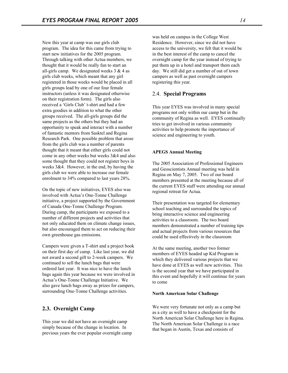New this year at camp was our girls club program. The idea for this came from trying to start new initiatives for the 2005 program. Through talking with other Actua members, we thought that it would be really fun to start an all-girls camp. We designated weeks  $3 \& 4$  as girls club weeks, which meant that any girl registered in those weeks would be placed in all girls groups lead by one of our four female instructors (unless it was designated otherwise on their registration form). The girls also received a 'Girls Club' t-shirt and had a few extra goodies in addition to what the other groups received. The all-girls groups did the same projects as the others but they had an opportunity to speak and interact with a number of fantastic mentors from Sasktel and Regina Research Park. One possible problem that arose from the girls club was a number of parents thought that it meant that either girls could not come in any other weeks but weeks 3&4 and also some thought that they could not register boys in weeks 3&4. However, in the end, by having the girls club we were able to increase our female enrolment to 34% compared to last years 28%.

On the topic of new initiatives, EYES also was involved with Actua's One-Tonne Challenge initiative, a project supported by the Government of Canada One-Tonne Challenge Program. During camp, the participants we exposed to a number of different projects and activities that not only educated them on climate change issues, but also encouraged them to act on reducing their own greenhouse gas emissions.

Campers were given a T-shirt and a project book on their first day of camp. Like last year, we did not award a second gift to 2-week campers. We continued to sell the lunch bags that were ordered last year. It was nice to have the lunch bags again this year because we were involved in Actua's One-Tonne Challenge Initiative. We also gave lunch bags away as prizes for campers, surrounding One-Tonne Challenge activities.

## **2.3. Overnight Camp**

This year we did not have an overnight camp simply because of the change in location. In previous years the ever popular overnight camp was held on campus in the College West Residence. However, since we did not have access to the university, we felt that it would be in the best interest of the camp to cancel the overnight camp for the year instead of trying to put them up in a hotel and transport them each day. We still did get a number of out of town campers as well as past overnight campers registering this year.

## 2.4. **Special Programs**

This year EYES was involved in many special programs not only within our camp but in the community of Regina as well. EYES continually tries to get involved in various community activities to help promote the importance of science and engineering to youth.

#### **APEGS Annual Meeting**

The 2005 Association of Professional Engineers and Geoscientists Annual meeting was held in Regina on May 7, 2005. Two of our board members presented at the meeting because all of the current EYES staff were attending our annual regional retreat for Actua.

Their presentation was targeted for elementary school teaching and surrounded the topics of bring interactive science and engineering activities to a classroom. The two board members demonstrated a number of training tips and actual projects from various resources that could be used effectively in the classroom

At the same meeting, another two former members of EYES headed up Kid Program in which they delivered various projects that we have done at EYES as well new activities. This is the second year that we have participated in this event and hopefully it will continue for years to come

#### **North American Solar Challenge**

We were very fortunate not only as a camp but as a city as well to have a checkpoint for the North American Solar Challenge here in Regina. The North American Solar Challenge is a race that began in Austin, Texas and consists of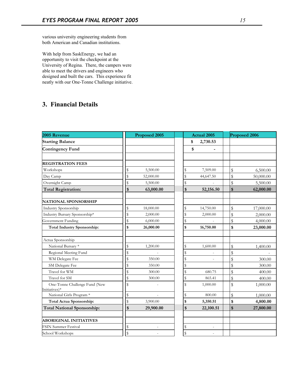various university engineering students from both American and Canadian institutions.

With help from SaskEnergy, we had an opportunity to visit the checkpoint at the University of Regina. There, the campers were able to meet the drivers and engineers who designed and built the cars. This experience fit neatly with our One-Tonne Challenge initiative.

# **3. Financial Details**

| 2005 Revenue                                   | Proposed 2005   |              | <b>Actual 2005</b>           | Proposed 2006 |           |  |
|------------------------------------------------|-----------------|--------------|------------------------------|---------------|-----------|--|
| <b>Starting Balance</b>                        |                 |              | 2,730.53<br>\$               |               |           |  |
| <b>Contingency Fund</b>                        |                 |              | \$                           |               |           |  |
|                                                |                 |              |                              |               |           |  |
| <b>REGISTRATION FEES</b>                       |                 |              |                              |               |           |  |
| Workshops                                      | \$<br>5,500.00  | $\mathbb S$  | 7,509.00                     | \$            | 6,500.00  |  |
| Day Camp                                       | \$<br>52,000.00 | \$           | 44,647.50                    | \$            | 50,000.00 |  |
| Overnight Camp                                 | \$<br>5,500.00  | \$           |                              | \$            | 5,500.00  |  |
| <b>Total Registration:</b>                     | \$<br>63,000.00 | \$           | 52,156.50                    | \$            | 62,000.00 |  |
| <b>NATIONAL SPONSORSHIP</b>                    |                 |              |                              |               |           |  |
| Industry Sponsorship                           | \$<br>18,000.00 | \$           | 14,750.00                    | \$            | 17,000.00 |  |
| Industry Bursary Sponsorship*                  | \$<br>2,000.00  | \$           | 2,000.00                     | \$            | 2,000.00  |  |
| Government Funding                             | \$<br>6,000.00  | \$           |                              | \$            | 4,000.00  |  |
| <b>Total Industry Sponsorship:</b>             | \$<br>26,000.00 | \$           | 16,750.00                    | \$            | 23,000.00 |  |
| Actua Sponsorship                              |                 |              |                              |               |           |  |
| National Bursary *                             | \$<br>1,200.00  | $\mathbb S$  | 1,600.00                     | \$            | 1,400.00  |  |
| Regional Meeting Fund                          | \$              | $\mathbb{S}$ | $\qquad \qquad \blacksquare$ | \$            |           |  |
| WM Delegate Fee                                | \$<br>350.00    | \$           |                              | \$            | 300.00    |  |
| SM Delegate Fee                                | \$<br>350.00    | \$           |                              | \$            | 300.00    |  |
| Travel for WM                                  | \$<br>300.00    | $\mathbb S$  | 680.75                       | \$            | 400.00    |  |
| Travel for SM                                  | \$<br>300.00    | \$           | 865.41                       | \$            | 400.00    |  |
| One-Tonne Challenge Fund (New<br>Initiatives)* | \$              | $\mathbb{S}$ | 1,000.00                     | \$            | 1,000.00  |  |
| National Girls Program *                       | \$              | \$           | 800.00                       | \$            | 1,000.00  |  |
| Total Actua Sponsorship:                       | \$<br>3,900.00  | \$           | 5,350.51                     | \$            | 4,800.00  |  |
| <b>Total National Sponsorship:</b>             | \$<br>29,900.00 | \$           | 22,100.51                    | \$            | 27,800.00 |  |
| <b>ABORIGINAL INITIATIVES</b>                  |                 |              |                              |               |           |  |
| <b>FSIN Summer Festival</b>                    | \$              | $\mathbb S$  | $\overline{a}$               |               |           |  |
| School Workshops                               | \$              | \$           | $\overline{\phantom{a}}$     |               |           |  |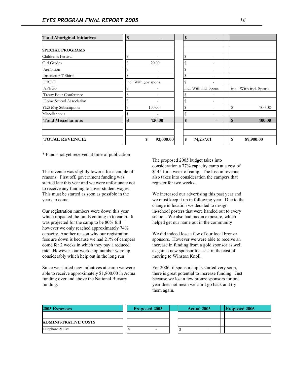| <b>Total Aboriginal Initiatives</b> | \$                       | \$ |                          |                       |
|-------------------------------------|--------------------------|----|--------------------------|-----------------------|
|                                     |                          |    |                          |                       |
| <b>SPECIAL PROGRAMS</b>             |                          |    |                          |                       |
| Children's Festival                 |                          |    | $\overline{a}$           |                       |
| Girl Guides                         | 20.00                    |    |                          |                       |
| Agribition                          |                          |    |                          |                       |
| <b>Instructor T-Shirts</b>          | $\overline{\phantom{a}}$ | \$ | $\overline{\phantom{0}}$ |                       |
| <b>HRDC</b>                         | incl. With gov spons.    |    |                          |                       |
| <b>APEGS</b>                        |                          |    | incl. With ind. Spons    | incl. With ind. Spons |
| Treaty Four Conference              |                          |    |                          |                       |
| Home School Association             |                          | ٩  |                          |                       |
| YES Mag Subscription                | 100.00                   |    |                          | \$<br>100.00          |
| Miscellaneous                       | \$                       |    | $\overline{a}$           |                       |
| <b>Total Miscellanious</b>          | \$<br>120.00             | \$ |                          | \$<br>100.00          |
| <b>TOTAL REVENUE:</b>               | \$<br>93,000.00          | \$ | 74,237.01                | \$<br>89,900.00       |

\* Funds not yet received at time of publication

The revenue was slightly lower a for a couple of reasons. First off, government funding was started late this year and we were unfortunate not to receive any funding to cover student wages. This must be started as soon as possible in the years to come.

Our registration numbers were down this year which impacted the funds coming in to camp. It was projected for the camp to be 80% full however we only reached approximately 74% capacity. Another reason why our registration fees are down is because we had 21% of campers come for 2 weeks in which they pay a reduced rate. However, our workshop number were up considerably which help out in the long run

Since we started new initiatives at camp we were able to receive approximately \$1,800.00 in Actua funding over and above the National Bursary funding.

The proposed 2005 budget takes into consideration a 77% capacity camp at a cost of \$145 for a week of camp. The loss in revenue also takes into consideration the campers that register for two weeks.

We increased our advertising this past year and we must keep it up in following year. Due to the change in location we decided to design in-school posters that were handed out to every school. We also had media exposure, which helped get our name out in the community

We did indeed lose a few of our local bronze sponsors. However we were able to receive an increase in funding from a gold sponsor as well as gain a new sponsor to assist in the cost of moving to Winston Knoll.

For 2006, if sponsorship is started very soon, there is great potential to increase funding. Just because we lost a few bronze sponsors for one year does not mean we can't go back and try them again.

| 2005 Expenses               |  | <b>Proposed 2005</b> |  | <b>Actual 2005</b>       |  | <b>Proposed 2006</b> |
|-----------------------------|--|----------------------|--|--------------------------|--|----------------------|
|                             |  |                      |  |                          |  |                      |
| <b>ADMINISTRATIVE COSTS</b> |  |                      |  |                          |  |                      |
| Telephone & Fax             |  |                      |  | $\overline{\phantom{a}}$ |  |                      |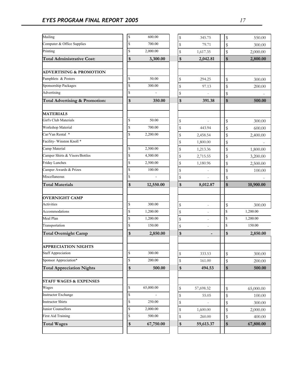| Mailing                                   | $\mathbb S$  | 600.00                   | $\mathbb S$ | 345.75         | \$                 | 550.00    |
|-------------------------------------------|--------------|--------------------------|-------------|----------------|--------------------|-----------|
| Computer & Office Supplies                | \$           | 700.00                   | \$          | 79.71          | $\mathbb S$        | 300.00    |
| Printing                                  | \$           | 2,000.00                 | \$          | 1,617.35       | \$                 | 2,000.00  |
| <b>Total Administrative Cost:</b>         | \$           | 3,300.00                 | \$          | 2,042.81       | \$                 | 2,800.00  |
|                                           |              |                          |             |                |                    |           |
| <b>ADVERTISING &amp; PROMOTION</b>        |              |                          |             |                |                    |           |
| Pamphlets & Posters                       | \$           | 50.00                    | \$          | 294.25         | \$                 | 300.00    |
| Sponsorship Packages                      | \$           | 300.00                   | \$          | 97.13          | \$                 | 200.00    |
| Advertising                               | \$           |                          | \$          |                | \$                 |           |
| <b>Total Advertising &amp; Promotion:</b> | \$           | 350.00                   | \$          | 391.38         | \$                 | 500.00    |
| <b>MATERIALS</b>                          |              |                          |             |                |                    |           |
| Girl's Club Materials                     | \$           | 50.00                    | \$          |                | \$                 | 300.00    |
| Workshop Material                         | \$           | 700.00                   | $\mathbb S$ | 443.94         | \$                 | 600.00    |
| Car/Van Rental *                          | \$           | 2,200.00                 | \$          | 2,458.54       | \$                 | 2,400.00  |
| Facility-Winston Knoll*                   |              |                          | \$          | 1,800.00       | \$                 |           |
| Camp Material                             | \$           | 2,500.00                 | \$          | 1,213.36       | $\mathbb S$        | 1,800.00  |
| Camper Shirts & Visors/Bottles            | \$           | 4,500.00                 | $\mathbb S$ | 2,715.55       | \$                 | 3,200.00  |
| <b>Friday Lunches</b>                     | $\mathbb{S}$ | 2,500.00                 | $\mathbb S$ | 1,180.96       | \$                 | 2,500.00  |
| Camper Awards & Prizes                    | \$           | 100.00                   | $\mathbb S$ |                | $\mathbb S$        | 100.00    |
| Miscellaneous                             | \$           | $\overline{\phantom{a}}$ | \$          |                | $\mathbb S$        |           |
| <b>Total Materials</b>                    | \$           | 12,550.00                | \$          | 8,012.87       | \$                 | 10,900.00 |
|                                           |              |                          |             |                |                    |           |
| <b>OVERNIGHT CAMP</b>                     |              |                          |             |                |                    |           |
| Activities                                | \$           | 300.00                   | \$          | $\overline{a}$ | \$                 | 300.00    |
| Accommodations                            | \$           | 1,200.00                 | \$          |                | $\mathbf{\hat{S}}$ | 1,200.00  |
| Meal Plan                                 | \$           | 1,200.00                 | \$          |                | $\mathbb S$        | 1,200.00  |
| Transportation                            | \$           | 150.00                   | $\mathbb S$ |                | ${\mathbb S}$      | 150.00    |
| <b>Total Overnight Camp</b>               | \$           | 2,850.00                 | \$          |                | \$                 | 2,850.00  |
| <b>APPRECIATION NIGHTS</b>                |              |                          |             |                |                    |           |
| <b>Staff Appreciation</b>                 | \$           | 300.00                   | \$          | 333.53         | $\mathbb S$        | 300.00    |
| Sponsor Appreciation*                     | \$           | 200.00                   | $\mathbb S$ | 161.00         | \$                 | 200.00    |
| <b>Total Appreciation Nights</b>          | \$           | 500.00                   | \$          | 494.53         | \$                 | 500.00    |
| <b>STAFF WAGES &amp; EXPENSES</b>         |              |                          |             |                |                    |           |
| Wages                                     | \$           | 65,000.00                | \$          | 57,698.32      | \$                 | 65,000.00 |
| <b>Instructor Exchange</b>                | \$           |                          | \$          | 55.05          | \$                 | 100.00    |
| <b>Instructor Shirts</b>                  | \$           | 250.00                   | \$          |                | \$                 | 300.00    |
| Junior Counsellors                        | \$           | 2,000.00                 | \$          | 1,600.00       | \$                 | 2,000.00  |
| <b>First Aid Training</b>                 | \$           | 500.00                   | \$          | 260.00         | \$                 | 400.00    |
| <b>Total Wages</b>                        | \$           | 67,750.00                | \$          | 59,613.37      | \$                 | 67,800.00 |
|                                           |              |                          |             |                |                    |           |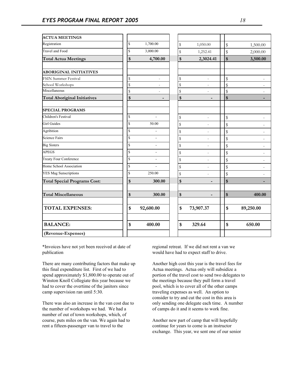| <b>ACTUA MEETINGS</b>               |                    |                          |                    |                          |                                                     |
|-------------------------------------|--------------------|--------------------------|--------------------|--------------------------|-----------------------------------------------------|
| Registration                        | $\mathbf{\hat{S}}$ | 1,700.00                 | \$                 | 1,050.00                 | \$<br>1,500.00                                      |
| Travel and Food                     | \$                 | 3,000.00                 | \$                 | 1,252.41                 | \$<br>2,000.00                                      |
| <b>Total Actua Meetings</b>         | \$                 | 4,700.00                 | \$                 | 2,3024.41                | $\sqrt[6]{\frac{1}{2}}$<br>3,500.00                 |
|                                     |                    |                          |                    |                          |                                                     |
| <b>ABORIGINAL INITIATIVES</b>       |                    |                          |                    |                          |                                                     |
| <b>FSIN Summer Festival</b>         | \$                 | $\overline{\phantom{m}}$ | \$                 | $\overline{\phantom{a}}$ | $\mathbb{S}$<br>$\overline{\phantom{a}}$            |
| School Workshops                    | \$                 |                          | \$                 |                          | $\sqrt[6]{\frac{1}{2}}$<br>$\overline{\phantom{a}}$ |
| Miscellaneous                       | \$                 | $\overline{\phantom{a}}$ | \$                 | $\overline{\phantom{a}}$ | $\sqrt[6]{\frac{1}{2}}$<br>$\overline{\phantom{a}}$ |
| <b>Total Aboriginal Initiatives</b> | \$                 |                          | \$                 |                          | \$                                                  |
| <b>SPECIAL PROGRAMS</b>             |                    |                          |                    |                          |                                                     |
| Children's Festival                 | $\mathbf S$        | L.                       | \$                 | $\overline{a}$           | $\mathbb S$                                         |
| <b>Girl Guides</b>                  | \$                 | 50.00                    | \$                 | $\overline{a}$           | $\sqrt[6]{\frac{1}{2}}$<br>$\overline{\phantom{a}}$ |
| Agribition                          | \$                 | ÷,                       | \$                 | $\overline{\phantom{a}}$ | $\sqrt[6]{\frac{1}{2}}$<br>$\overline{\phantom{a}}$ |
| <b>Science Fairs</b>                | \$                 | $\blacksquare$           | \$                 | $\overline{a}$           | $\mathbb{S}$<br>$\overline{\phantom{a}}$            |
| <b>Big Sisters</b>                  | \$                 | $\blacksquare$           | \$                 | $\overline{a}$           | $\mathbb S$                                         |
| <b>APEGS</b>                        | $\mathbf S$        |                          | \$                 |                          | \$<br>$\overline{\phantom{a}}$                      |
| Treaty Four Conference              | \$                 | $\overline{a}$           | \$                 | $\overline{\phantom{a}}$ | \$                                                  |
| Home School Association             | $\hat{\mathbf{S}}$ |                          | \$                 | $\overline{a}$           | $\sqrt[6]{\frac{1}{2}}$<br>$\overline{\phantom{a}}$ |
| <b>YES Mag Sunscriptions</b>        | \$                 | 250.00                   | \$                 |                          | $\mathbb S$                                         |
| <b>Total Special Programs Cost:</b> | \$                 | 300.00                   | \$                 |                          | $\boldsymbol{\$}$<br>٠                              |
| <b>Total Miscellaneous</b>          | \$                 | 300.00                   | \$                 | -                        | \$<br>400.00                                        |
| <b>TOTAL EXPENSES:</b>              | \$                 | 92,600.00                | $\mathbf{\hat{s}}$ | 73,907.37                | \$<br>89,250.00                                     |
| <b>BALANCE:</b>                     | \$                 | 400.00                   | $\mathbf{\hat{s}}$ | 329.64                   | 650.00<br>\$                                        |
| (Revenue-Expenses)                  |                    |                          |                    |                          |                                                     |

\*Invoices have not yet been received at date of publication

There are many contributing factors that make up this final expenditure list. First of we had to spend approximately \$1,800.00 to operate out of Winston Knoll Collegiate this year because we had to cover the overtime of the janitors since camp supervision ran until 5:30.

There was also an increase in the van cost due to the number of workshops we had. We had a number of out of town workshops, which, of course, puts miles on the van. We again had to rent a fifteen-passenger van to travel to the

regional retreat. If we did not rent a van we would have had to expect staff to drive.

Another high cost this year is the travel fees for Actua meetings. Actua only will subsidize a portion of the travel cost to send two delegates to the meetings because they pull form a travel pool, which is to cover all of the other camps traveling expenses as well. An option to consider to try and cut the cost in this area is only sending one delegate each time. A number of camps do it and it seems to work fine.

Another new part of camp that will hopefully continue for years to come is an instructor exchange. This year, we sent one of our senior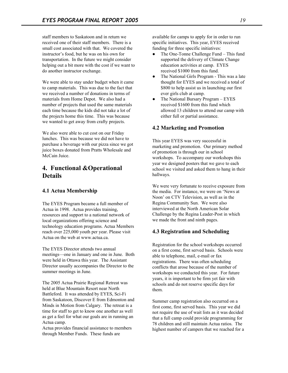staff members to Saskatoon and in return we received one of their staff members. There is a small cost associated with that. We covered the instructor's food, but he was on his own for transportation. In the future we might consider helping out a bit more with the cost if we want to do another instructor exchange.

We were able to stay under budget when it came to camp materials. This was due to the fact that we received a number of donations in terms of materials from Home Depot. We also had a number of projects that used the same materials each time because the kids did not take a lot of the projects home this time. This was because we wanted to get away from crafty projects.

We also were able to cut cost on our Friday lunches. This was because we did not have to purchase a beverage with our pizza since we got juice boxes donated from Pratts Wholesale and McCain Juice.

# **4. Functional &Operational Details**

## **4.1 Actua Membership**

The EYES Program became a full member of Actua in 1998. Actua provides training, resources and support to a national network of local organizations offering science and technology education programs. Actua Members reach over 225,000 youth per year. Please visit Actua on the web at www.actua.ca.

The EYES Director attends two annual meetings—one in January and one in June. Both were held in Ottawa this year. The Assistant Director usually accompanies the Director to the summer meetings in June.

The 2005 Actua Prairie Regional Retreat was held at Blue Mountain Resort near North Battleford. It was attended by EYES, Sci-Fi from Saskatoon, Discover E from Edmonton and Minds in Motion from Calgary. The retreat is a time for staff to get to know one another as well as get a feel for what our goals are in running an Actua camp.

Actua provides financial assistance to members through Member Funds. These funds are

available for camps to apply for in order to run specific initiatives. This year, EYES received funding for three specific initiatives:

- The One-Tonne Challenge Fund This fund supported the delivery of Climate Change education activities at camp. EYES received \$1000 from this fund.
- The National Girls Program This was a late thought for EYES and we received a total of \$800 to help assist us in launching our first ever girls club at camp.
- The National Bursary Program EYES received \$1600 from this fund which allowed 13 children to attend our camp with either full or partial assistance.

## **4.2 Marketing and Promotion**

This year EYES was very successful in marketing and promotion. Our primary method of promotion is through our in school workshops. To accompany our workshops this year we designed posters that we gave to each school we visited and asked them to hang in their hallways.

We were very fortunate to receive exposure from the media. For instance, we were on 'News at Noon' on CTV Television, as well as in the Regina Community Sun. We were also interviewed at the North American Solar Challenge by the Regina Leader-Post in which we made the front and ninth pages.

## **4.3 Registration and Scheduling**

Registration for the school workshops occurred on a first come, first served basis. Schools were able to telephone, mail, e-mail or fax registrations. There was often scheduling conflicts that arose because of the number of workshops we conducted this year. For future years, it is important to be firm yet fair with schools and do not reserve specific days for them.

Summer camp registration also occurred on a first come, first served basis. This year we did not require the use of wait lists as it was decided that a full camp could provide programming for 78 children and still maintain Actua ratios. The highest number of campers that we reached for a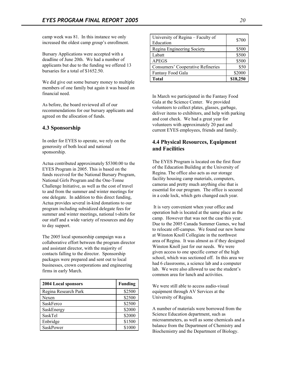camp week was 81. In this instance we only increased the oldest camp group's enrollment.

Bursary Applications were accepted with a deadline of June 20th. We had a number of applicants but due to the funding we offered 13 bursaries for a total of \$1652.50.

We did give out some bursary money to multiple members of one family but again it was based on financial need.

As before, the board reviewed all of our recommendations for our bursary applicants and agreed on the allocation of funds.

## **4.3 Sponsorship**

In order for EYES to operate, we rely on the generosity of both local and national sponsorship.

Actua contributed approximately \$5300.00 to the EYES Program in 2005. This is based on the funds received for the National Bursary Program, National Girls Program and the One-Tonne Challenge Initiative, as well as the cost of travel to and from the summer and winter meetings for one delegate. In addition to this direct funding, Actua provides several in-kind donations to our program including subsidized delegate fees for summer and winter meetings, national t-shirts for our staff and a wide variety of resources and day to day support.

The 2005 local sponsorship campaign was a collaborative effort between the program director and assistant director, with the majority of contacts falling to the director. Sponsorship packages were prepared and sent out to local businesses, crown corporations and engineering firms in early March.

| <b>2004 Local sponsors</b> | <b>Funding</b> |
|----------------------------|----------------|
| Regina Research Park       | \$2500         |
| Nexen                      | \$2500         |
| SaskFerco                  | \$2500         |
| SaskEnergy                 | \$2000         |
| SaskTel                    | \$2000         |
| Enbridge                   | \$1500         |
| SaskPower                  | \$1000         |

| University of Regina – Faculty of | \$700    |
|-----------------------------------|----------|
| Education                         |          |
| Regina Engineering Society        | \$500    |
| Labatt                            | \$500    |
| <b>APEGS</b>                      | \$500    |
| Consumers' Cooperative Refineries | \$50     |
| Fantasy Food Gala                 | \$2000   |
| <b>Total</b>                      | \$18,250 |

In March we participated in the Fantasy Food Gala at the Science Center. We provided volunteers to collect plates, glasses, garbage, deliver items to exhibitors, and help with parking and coat check. We had a great year for volunteers with approximately 20 past and current EYES employees, friends and family.

## **4.4 Physical Resources, Equipment and Facilities**

The EYES Program is located on the first floor of the Education Building at the University of Regina. The office also acts as our storage facility housing camp materials, computers, cameras and pretty much anything else that is essential for our program. The office is secured in a code lock, which gets changed each year.

It is very convenient when your office and operation hub is located at the same place as the camp. However that was not the case this year. Due to the 2005 Canada Summer Games, we had to relocate off-campus. We found our new home at Winston Knoll Collegiate in the northwest area of Regina. It was almost as if they designed Winston Knoll just for our needs. We were given access to one specific corner of the high school, which was sectioned off. In this area we had 6 classrooms, a science lab and a computer lab. We were also allowed to use the student's common area for lunch and activities.

We were still able to access audio-visual equipment through AV Services at the University of Regina.

A number of materials were borrowed from the Science Education department, such as microammeters, as well as some chemicals and a balance from the Department of Chemistry and Biochemistry and the Department of Biology.